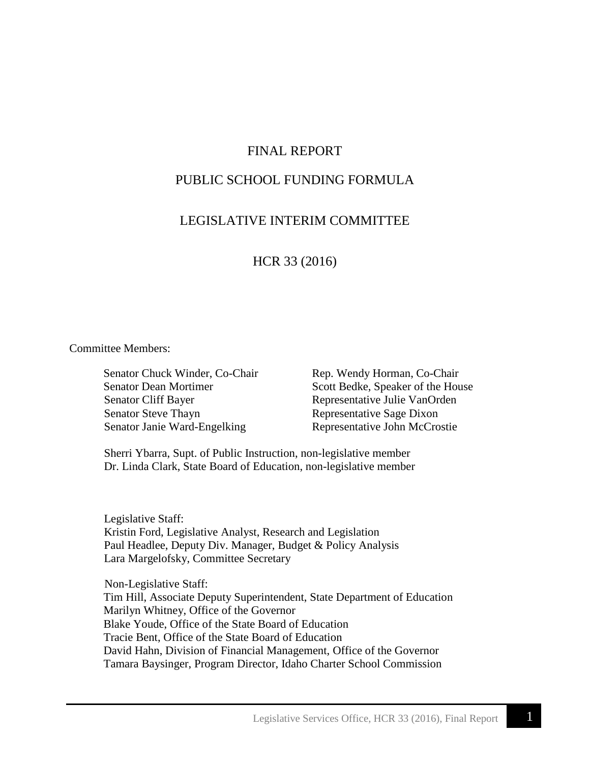# FINAL REPORT

# PUBLIC SCHOOL FUNDING FORMULA

# LEGISLATIVE INTERIM COMMITTEE

HCR 33 (2016)

#### Committee Members:

Senator Cliff Bayer Representative Julie VanOrden Senator Steve Thayn Representative Sage Dixon Senator Janie Ward-Engelking Representative John McCrostie

Senator Chuck Winder, Co-Chair Rep. Wendy Horman, Co-Chair Senator Dean Mortimer Scott Bedke, Speaker of the House

Sherri Ybarra, Supt. of Public Instruction, non-legislative member Dr. Linda Clark, State Board of Education, non-legislative member

Legislative Staff: Kristin Ford, Legislative Analyst, Research and Legislation Paul Headlee, Deputy Div. Manager, Budget & Policy Analysis Lara Margelofsky, Committee Secretary

 Non-Legislative Staff: Tim Hill, Associate Deputy Superintendent, State Department of Education Marilyn Whitney, Office of the Governor Blake Youde, Office of the State Board of Education Tracie Bent, Office of the State Board of Education David Hahn, Division of Financial Management, Office of the Governor Tamara Baysinger, Program Director, Idaho Charter School Commission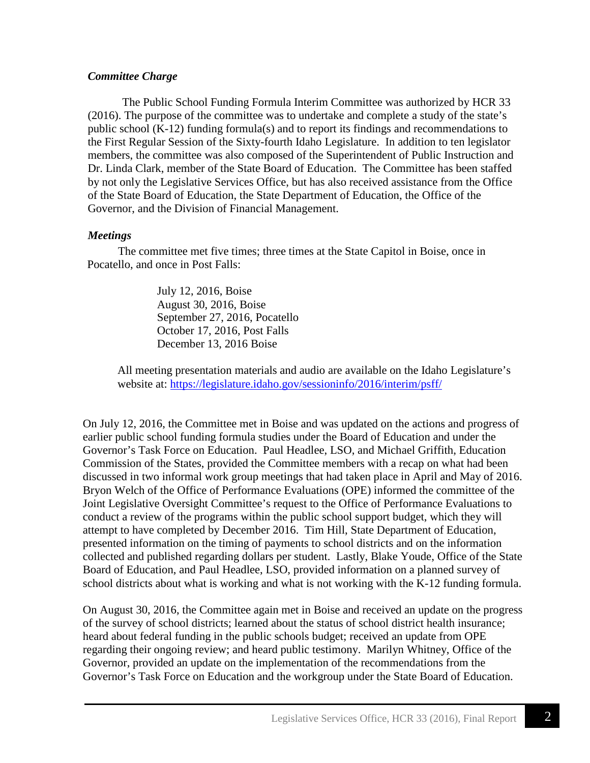## *Committee Charge*

The Public School Funding Formula Interim Committee was authorized by HCR 33 (2016). The purpose of the committee was to undertake and complete a study of the state's public school (K-12) funding formula(s) and to report its findings and recommendations to the First Regular Session of the Sixty-fourth Idaho Legislature. In addition to ten legislator members, the committee was also composed of the Superintendent of Public Instruction and Dr. Linda Clark, member of the State Board of Education. The Committee has been staffed by not only the Legislative Services Office, but has also received assistance from the Office of the State Board of Education, the State Department of Education, the Office of the Governor, and the Division of Financial Management.

## *Meetings*

The committee met five times; three times at the State Capitol in Boise, once in Pocatello, and once in Post Falls:

> July 12, 2016, Boise August 30, 2016, Boise September 27, 2016, Pocatello October 17, 2016, Post Falls December 13, 2016 Boise

All meeting presentation materials and audio are available on the Idaho Legislature's website at:<https://legislature.idaho.gov/sessioninfo/2016/interim/psff/>

On July 12, 2016, the Committee met in Boise and was updated on the actions and progress of earlier public school funding formula studies under the Board of Education and under the Governor's Task Force on Education. Paul Headlee, LSO, and Michael Griffith, Education Commission of the States, provided the Committee members with a recap on what had been discussed in two informal work group meetings that had taken place in April and May of 2016. Bryon Welch of the Office of Performance Evaluations (OPE) informed the committee of the Joint Legislative Oversight Committee's request to the Office of Performance Evaluations to conduct a review of the programs within the public school support budget, which they will attempt to have completed by December 2016. Tim Hill, State Department of Education, presented information on the timing of payments to school districts and on the information collected and published regarding dollars per student. Lastly, Blake Youde, Office of the State Board of Education, and Paul Headlee, LSO, provided information on a planned survey of school districts about what is working and what is not working with the K-12 funding formula.

On August 30, 2016, the Committee again met in Boise and received an update on the progress of the survey of school districts; learned about the status of school district health insurance; heard about federal funding in the public schools budget; received an update from OPE regarding their ongoing review; and heard public testimony. Marilyn Whitney, Office of the Governor, provided an update on the implementation of the recommendations from the Governor's Task Force on Education and the workgroup under the State Board of Education.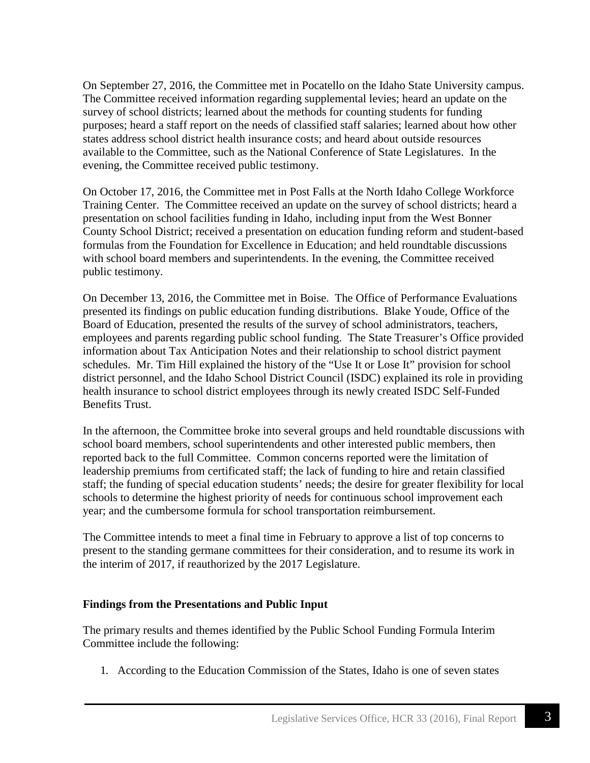On September 27, 2016, the Committee met in Pocatello on the Idaho State University campus. The Committee received information regarding supplemental levies; heard an update on the survey of school districts; learned about the methods for counting students for funding purposes; heard a staff report on the needs of classified staff salaries; learned about how other states address school district health insurance costs; and heard about outside resources available to the Committee, such as the National Conference of State Legislatures. In the evening, the Committee received public testimony.

On October 17, 2016, the Committee met in Post Falls at the North Idaho College Workforce Training Center. The Committee received an update on the survey of school districts; heard a presentation on school facilities funding in Idaho, including input from the West Bonner County School District; received a presentation on education funding reform and student-based formulas from the Foundation for Excellence in Education; and held roundtable discussions with school board members and superintendents. In the evening, the Committee received public testimony.

On December 13, 2016, the Committee met in Boise. The Office of Performance Evaluations presented its findings on public education funding distributions. Blake Youde, Office of the Board of Education, presented the results of the survey of school administrators, teachers, employees and parents regarding public school funding. The State Treasurer's Office provided information about Tax Anticipation Notes and their relationship to school district payment schedules. Mr. Tim Hill explained the history of the "Use It or Lose It" provision for school district personnel, and the Idaho School District Council (ISDC) explained its role in providing health insurance to school district employees through its newly created ISDC Self-Funded Benefits Trust.

In the afternoon, the Committee broke into several groups and held roundtable discussions with school board members, school superintendents and other interested public members, then reported back to the full Committee. Common concerns reported were the limitation of leadership premiums from certificated staff; the lack of funding to hire and retain classified staff; the funding of special education students' needs; the desire for greater flexibility for local schools to determine the highest priority of needs for continuous school improvement each year; and the cumbersome formula for school transportation reimbursement.

The Committee intends to meet a final time in February to approve a list of top concerns to present to the standing germane committees for their consideration, and to resume its work in the interim of 2017, if reauthorized by the 2017 Legislature.

### **Findings from the Presentations and Public Input**

The primary results and themes identified by the Public School Funding Formula Interim Committee include the following:

1. According to the Education Commission of the States, Idaho is one of seven states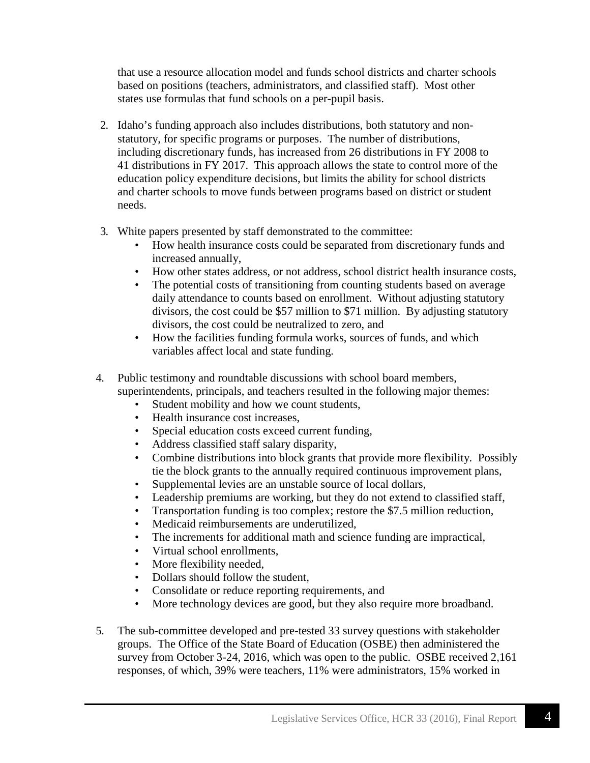that use a resource allocation model and funds school districts and charter schools based on positions (teachers, administrators, and classified staff). Most other states use formulas that fund schools on a per-pupil basis.

- 2. Idaho's funding approach also includes distributions, both statutory and nonstatutory, for specific programs or purposes. The number of distributions, including discretionary funds, has increased from 26 distributions in FY 2008 to 41 distributions in FY 2017. This approach allows the state to control more of the education policy expenditure decisions, but limits the ability for school districts and charter schools to move funds between programs based on district or student needs.
- 3. White papers presented by staff demonstrated to the committee:
	- How health insurance costs could be separated from discretionary funds and increased annually,
	- How other states address, or not address, school district health insurance costs,
	- The potential costs of transitioning from counting students based on average daily attendance to counts based on enrollment. Without adjusting statutory divisors, the cost could be \$57 million to \$71 million. By adjusting statutory divisors, the cost could be neutralized to zero, and
	- How the facilities funding formula works, sources of funds, and which variables affect local and state funding.
- 4. Public testimony and roundtable discussions with school board members, superintendents, principals, and teachers resulted in the following major themes:
	- Student mobility and how we count students,
	- Health insurance cost increases,
	- Special education costs exceed current funding,
	- Address classified staff salary disparity,
	- Combine distributions into block grants that provide more flexibility. Possibly tie the block grants to the annually required continuous improvement plans,
	- Supplemental levies are an unstable source of local dollars,
	- Leadership premiums are working, but they do not extend to classified staff,
	- Transportation funding is too complex; restore the \$7.5 million reduction,
	- Medicaid reimbursements are underutilized,
	- The increments for additional math and science funding are impractical,
	- Virtual school enrollments,
	- More flexibility needed,
	- Dollars should follow the student,
	- Consolidate or reduce reporting requirements, and
	- More technology devices are good, but they also require more broadband.
- 5. The sub-committee developed and pre-tested 33 survey questions with stakeholder groups. The Office of the State Board of Education (OSBE) then administered the survey from October 3-24, 2016, which was open to the public. OSBE received 2,161 responses, of which, 39% were teachers, 11% were administrators, 15% worked in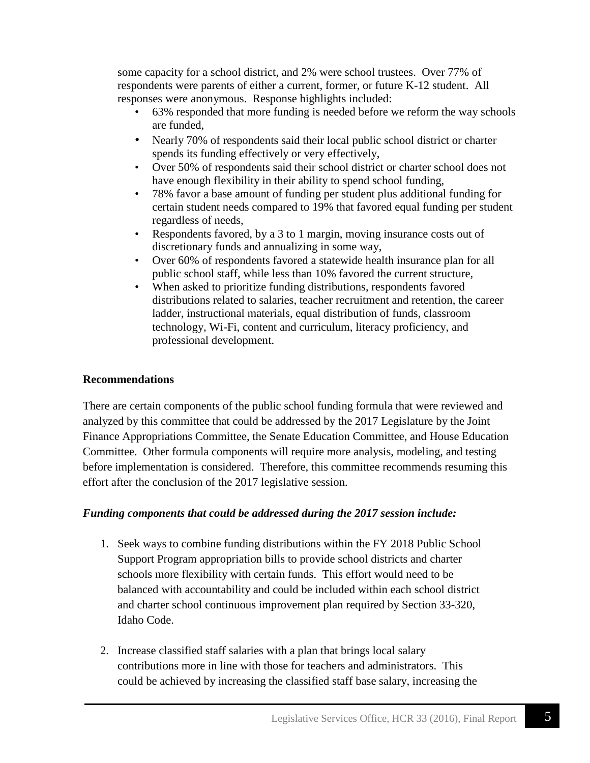some capacity for a school district, and 2% were school trustees. Over 77% of respondents were parents of either a current, former, or future K-12 student. All responses were anonymous. Response highlights included:

- 63% responded that more funding is needed before we reform the way schools are funded,
- Nearly 70% of respondents said their local public school district or charter spends its funding effectively or very effectively,
- Over 50% of respondents said their school district or charter school does not have enough flexibility in their ability to spend school funding,
- 78% favor a base amount of funding per student plus additional funding for certain student needs compared to 19% that favored equal funding per student regardless of needs,
- Respondents favored, by a 3 to 1 margin, moving insurance costs out of discretionary funds and annualizing in some way,
- Over 60% of respondents favored a statewide health insurance plan for all public school staff, while less than 10% favored the current structure,
- When asked to prioritize funding distributions, respondents favored distributions related to salaries, teacher recruitment and retention, the career ladder, instructional materials, equal distribution of funds, classroom technology, Wi-Fi, content and curriculum, literacy proficiency, and professional development.

## **Recommendations**

There are certain components of the public school funding formula that were reviewed and analyzed by this committee that could be addressed by the 2017 Legislature by the Joint Finance Appropriations Committee, the Senate Education Committee, and House Education Committee. Other formula components will require more analysis, modeling, and testing before implementation is considered. Therefore, this committee recommends resuming this effort after the conclusion of the 2017 legislative session.

### *Funding components that could be addressed during the 2017 session include:*

- 1. Seek ways to combine funding distributions within the FY 2018 Public School Support Program appropriation bills to provide school districts and charter schools more flexibility with certain funds. This effort would need to be balanced with accountability and could be included within each school district and charter school continuous improvement plan required by Section 33-320, Idaho Code.
- 2. Increase classified staff salaries with a plan that brings local salary contributions more in line with those for teachers and administrators. This could be achieved by increasing the classified staff base salary, increasing the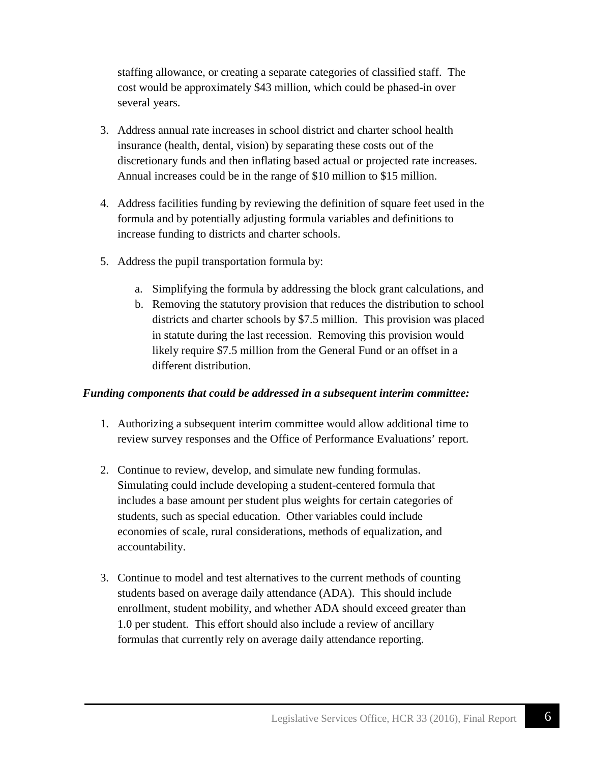staffing allowance, or creating a separate categories of classified staff. The cost would be approximately \$43 million, which could be phased-in over several years.

- 3. Address annual rate increases in school district and charter school health insurance (health, dental, vision) by separating these costs out of the discretionary funds and then inflating based actual or projected rate increases. Annual increases could be in the range of \$10 million to \$15 million.
- 4. Address facilities funding by reviewing the definition of square feet used in the formula and by potentially adjusting formula variables and definitions to increase funding to districts and charter schools.
- 5. Address the pupil transportation formula by:
	- a. Simplifying the formula by addressing the block grant calculations, and
	- b. Removing the statutory provision that reduces the distribution to school districts and charter schools by \$7.5 million. This provision was placed in statute during the last recession. Removing this provision would likely require \$7.5 million from the General Fund or an offset in a different distribution.

### *Funding components that could be addressed in a subsequent interim committee:*

- 1. Authorizing a subsequent interim committee would allow additional time to review survey responses and the Office of Performance Evaluations' report.
- 2. Continue to review, develop, and simulate new funding formulas. Simulating could include developing a student-centered formula that includes a base amount per student plus weights for certain categories of students, such as special education. Other variables could include economies of scale, rural considerations, methods of equalization, and accountability.
- 3. Continue to model and test alternatives to the current methods of counting students based on average daily attendance (ADA). This should include enrollment, student mobility, and whether ADA should exceed greater than 1.0 per student. This effort should also include a review of ancillary formulas that currently rely on average daily attendance reporting.